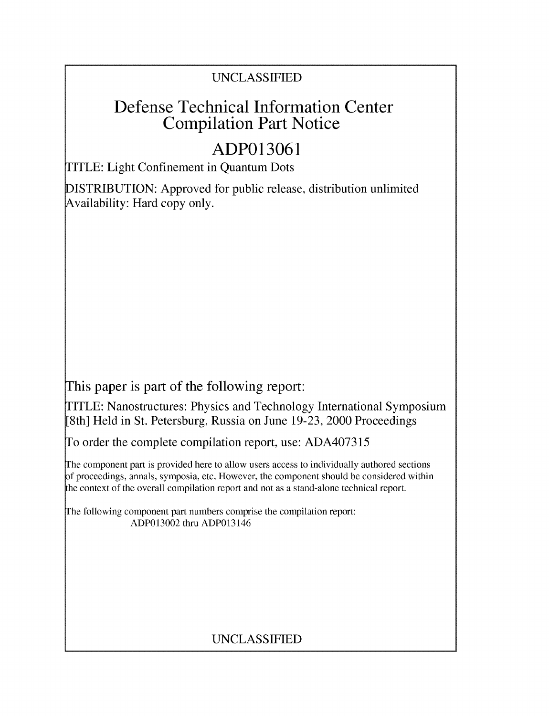# UNCLASSIFIED

# Defense Technical Information Center Compilation Part Notice

# **ADP013061**

TITLE: Light Confinement in Quantum Dots

DISTRIBUTION: Approved for public release, distribution unlimited Availability: Hard copy only.

This paper is part of the following report:

TITLE: Nanostructures: Physics and Technology International Symposium [8th] Held in St. Petersburg, Russia on June 19-23, 2000 Proceedings

To order the complete compilation report, use: ADA407315

The component part is provided here to allow users access to individually authored sections f proceedings, annals, symposia, etc. However, the component should be considered within the context of the overall compilation report and not as a stand-alone technical report.

The following component part numbers comprise the compilation report: ADP013002 thru ADP013146

# UNCLASSIFIED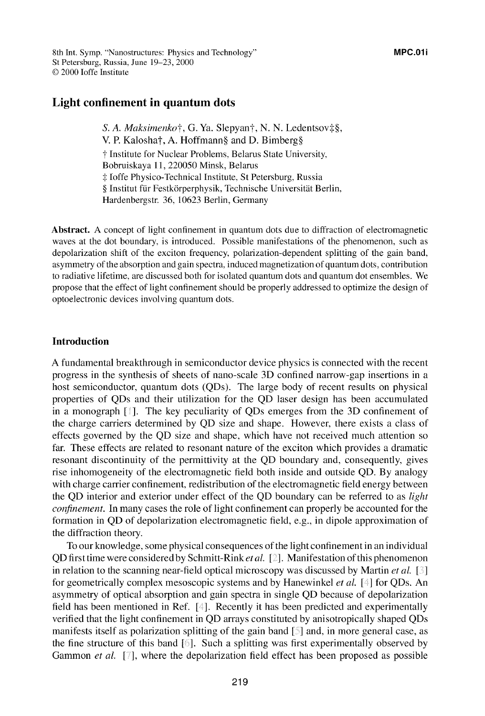# Light confinement in quantum dots

*S. A. Maksimenkot,* **G.** Ya. Slepyant, N. N. Ledentsovt§, V. P. Kaloshat, A. Hoffmann§ and D. Bimberg§ **T** Institute for Nuclear Problems, Belarus State University, Bobruiskaya 11, 220050 Minsk, Belarus **.:** Joffe Physico-Technical Institute, St Petersburg, Russia § Institut für Festkörperphysik, Technische Universität Berlin, Hardenbergstr. 36, 10623 Berlin, Germany

Abstract. **A** concept of light confinement in quantum dots due to diffraction of electromagnetic waves at the dot boundary, is introduced. Possible manifestations of the phenomenon, such as depolarization shift of the exciton frequency, polarization-dependent splitting of the gain band, asymmetry of the absorption and gain spectra, induced magnetization of quantum dots, contribution to radiative lifetime, are discussed both for isolated quantum dots and quantum dot ensembles. We propose that the effect of light confinement should be properly addressed to optimize the design of optoelectronic devices involving quantum dots.

### Introduction

A fundamental breakthrough in semiconductor device physics is connected with the recent progress in the synthesis of sheets of nano-scale 3D confined narrow-gap insertions in a host semiconductor, quantum dots (QDs). The large body of recent results on physical properties of QDs and their utilization for the QD laser design has been accumulated in a monograph **[ ].** The key peculiarity of QDs emerges from the 3D confinement of the charge carriers determined by QD size and shape. However, there exists a class of effects governed by the QD size and shape, which have not received much attention so far. These effects are related to resonant nature of the exciton which provides a dramatic resonant discontinuity of the permittivity at the QD boundary and, consequently, gives rise inhomogeneity of the electromagnetic field both inside and outside QD. By analogy with charge carrier confinement, redistribution of the electromagnetic field energy between the QD interior and exterior under effect of the QD boundary can be referred to as *light confinement.* In many cases the role of light confinement can properly be accounted for the formation in QD of depolarization electromagnetic field, e.g., in dipole approximation of the diffraction theory.

To our knowledge, some physical consequences of the light confinement in an individual QD first time were considered by Schmitt-Rink *et al. [].* Manifestation of this phenomenon in relation to the scanning near-field optical microscopy was discussed by Martin *et al. [* **1** for geometrically complex mesoscopic systems and by Hanewinkel *et al. [* **]** for QDs. An asymmetry of optical absorption and gain spectra in single QD because of depolarization field has been mentioned in Ref. [4]. Recently it has been predicted and experimentally verified that the light confinement in QD arrays constituted by anisotropically shaped QDs manifests itself as polarization splitting of the gain band [5] and, in more general case, as the fine structure of this band  $[6]$ . Such a splitting was first experimentally observed by Gammon *et al.* [7], where the depolarization field effect has been proposed as possible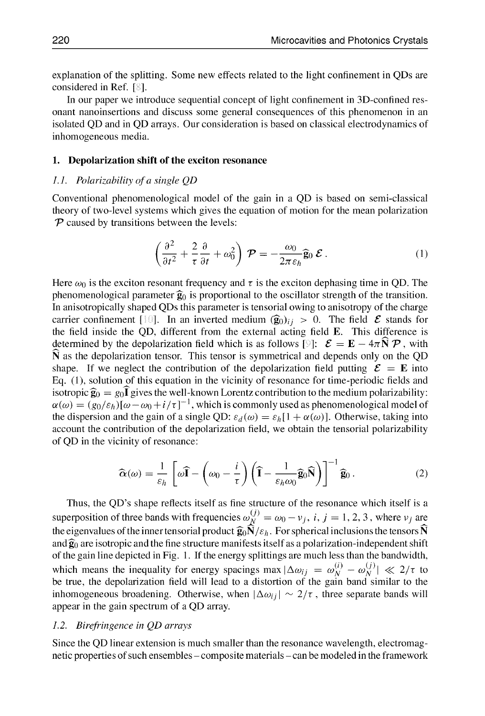explanation of the splitting. Some new effects related to the light confinement in QDs are considered in Ref. <sup>[8]</sup>.

In our paper we introduce sequential concept of light confinement in 3D-confined resonant nanoinsertions and discuss some general consequences of this phenomenon in an isolated QD and in QD arrays. Our consideration is based on classical electrodynamics of inhomogeneous media.

#### **1.** Depolarization shift of the exciton resonance

#### *L.L. Polarizability of a single QD*

Conventional phenomenological model of the gain in a QD is based on semi-classical theory of two-level systems which gives the equation of motion for the mean polarization *TP* caused by transitions between the levels:

$$
\left(\frac{\partial^2}{\partial t^2} + \frac{2}{\tau} \frac{\partial}{\partial t} + \omega_0^2\right) \mathcal{P} = -\frac{\omega_0}{2\pi \varepsilon_h} \widehat{\mathbf{g}}_0 \mathcal{E}.
$$
 (1)

Here  $\omega_0$  is the exciton resonant frequency and  $\tau$  is the exciton dephasing time in QD. The phenomenological parameter  $\hat{g}_0$  is proportional to the oscillator strength of the transition. In anisotropically shaped QDs this parameter is tensorial owing to anisotropy of the charge carrier confinement [10]. In an inverted medium  $(\hat{\mathbf{g}}_0)_{ij} > 0$ . The field  $\mathcal{E}$  stands for the field inside the QD, different from the external acting field **E.** This difference is determined by the depolarization field which is as follows [9]:  $\mathcal{E} = \mathbf{E} - 4\pi \mathbf{N} \mathcal{P}$ , with N as the depolarization tensor. This tensor is symmetrical and depends only on the QD shape. If we neglect the contribution of the depolarization field putting  $\mathcal{E} = \mathbf{E}$  into Eq. (1), solution of this equation in the vicinity of resonance for time-periodic fields and isotropic  $\hat{\mathbf{g}}_0 = g_0 \hat{\mathbf{I}}$  gives the well-known Lorentz contribution to the medium polarizability:  $\alpha(\omega) = (g_0/\varepsilon_h)[\omega - \omega_0 + i/\tau]^{-1}$ , which is commonly used as phenomenological model of the dispersion and the gain of a single QD:  $\varepsilon_d(\omega) = \varepsilon_b [1 + \alpha(\omega)]$ . Otherwise, taking into account the contribution of the depolarization field, we obtain the tensorial polarizability of QD in the vicinity of resonance:

$$
\widehat{\mathbf{\alpha}}(\omega) = \frac{1}{\varepsilon_h} \left[ \omega \widehat{\mathbf{I}} - \left( \omega_0 - \frac{i}{\tau} \right) \left( \widehat{\mathbf{I}} - \frac{1}{\varepsilon_h \omega_0} \widehat{\mathbf{g}}_0 \widehat{\mathbf{N}} \right) \right]^{-1} \widehat{\mathbf{g}}_0. \tag{2}
$$

Thus, the QD's shape reflects itself as fine structure of the resonance which itself is a superposition of three bands with frequencies  $\omega_N^{(j)} = \omega_0 - v_j$ , *i*, *j* = 1, 2, 3, where  $v_j$  are the eigenvalues of the inner tensorial product  $\hat{\mathbf{g}}_0 \hat{\mathbf{N}}/\varepsilon_h$ . For spherical inclusions the tensors  $\hat{\mathbf{N}}$ and  $\hat{g}_0$  are isotropic and the fine structure manifests itself as a polarization-independent shift of the gain line depicted in Fig. 1. If the energy splittings are much less than the bandwidth, which means the inequality for energy spacings max  $|\Delta \omega_{ij}| = \omega_{N}^{(i)} - \omega_{N}^{(j)}| \ll 2/\tau$  to be true, the depolarization field will lead to a distortion of the gain band similar to the inhomogeneous broadening. Otherwise, when  $|\Delta \omega_{ij}| \sim 2/\tau$ , three separate bands will appear in the gain spectrum of a QD array.

#### *1.2. Birefringence in QD arrays*

Since the QD linear extension is much smaller than the resonance wavelength, electromagnetic properties of such ensembles – composite materials – can be modeled in the framework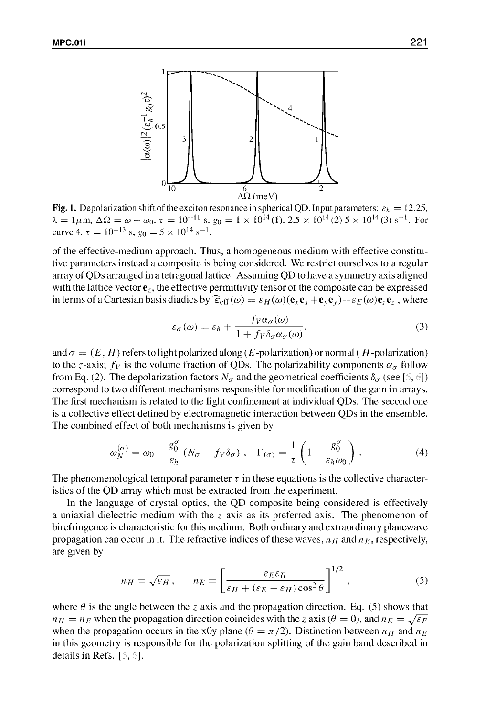

Fig. 1. Depolarization shift of the exciton resonance in spherical QD. Input parameters:  $\varepsilon_h = 12.25$ ,  $\lambda = 1 \mu \text{m}, \Delta \Omega = \omega - \omega_0, \tau = 10^{-11} \text{ s}, g_0 = 1 \times 10^{14} (1), 2.5 \times 10^{14} (2) 5 \times 10^{14} (3) \text{ s}^{-1}.$  For curve 4,  $\tau = 10^{-13}$  s,  $g_0 = 5 \times 10^{14}$  s<sup>-1</sup>.

of the effective-medium approach. Thus, a homogeneous medium with effective constitutive parameters instead a composite is being considered. We restrict ourselves to a regular array of QDs arranged in a tetragonal lattice. Assuming QD to have a symmetry axis aligned with the lattice vector  $\mathbf{e}_z$ , the effective permittivity tensor of the composite can be expressed in terms of a Cartesian basis diadics by  $\hat{\epsilon}_{eff}(\omega) = \epsilon_H(\omega)(\mathbf{e}_x\mathbf{e}_x + \mathbf{e}_y\mathbf{e}_y) + \epsilon_E(\omega)\mathbf{e}_z\mathbf{e}_z$ , where

$$
\varepsilon_{\sigma}(\omega) = \varepsilon_h + \frac{f_V \alpha_{\sigma}(\omega)}{1 + f_V \delta_{\sigma} \alpha_{\sigma}(\omega)},
$$
\n(3)

and  $\sigma = (E, H)$  refers to light polarized along (E-polarization) or normal (H-polarization) to the z-axis;  $f_V$  is the volume fraction of QDs. The polarizability components  $\alpha_\sigma$  follow from Eq. (2). The depolarization factors  $N_{\sigma}$  and the geometrical coefficients  $\delta_{\sigma}$  (see [5, 6]) correspond to two different mechanisms responsible for modification of the gain in arrays. The first mechanism is related to the light confinement at individual QDs. The second one is a collective effect defined by electromagnetic interaction between QDs in the ensemble. The combined effect of both mechanisms is given by

$$
\omega_N^{(\sigma)} = \omega_0 - \frac{g_0^{\sigma}}{\varepsilon_h} \left( N_{\sigma} + f_V \delta_{\sigma} \right) , \quad \Gamma_{(\sigma)} = \frac{1}{\tau} \left( 1 - \frac{g_0^{\sigma}}{\varepsilon_h \omega_0} \right) . \tag{4}
$$

The phenomenological temporal parameter  $\tau$  in these equations is the collective characteristics of the **QD** array which must be extracted from the experiment.

In the language of crystal optics, the **QD** composite being considered is effectively a uniaxial dielectric medium with the  $z$  axis as its preferred axis. The phenomenon of birefringence is characteristic for this medium: Both ordinary and extraordinary planewave propagation can occur in it. The refractive indices of these waves,  $n_H$  and  $n_E$ , respectively, are given by

$$
n_H = \sqrt{\varepsilon_H}, \qquad n_E = \left[\frac{\varepsilon_E \varepsilon_H}{\varepsilon_H + (\varepsilon_E - \varepsilon_H) \cos^2 \theta}\right]^{1/2}, \qquad (5)
$$

where  $\theta$  is the angle between the z axis and the propagation direction. Eq. (5) shows that  $n_H = n_E$  when the propagation direction coincides with the *z* axis ( $\theta = 0$ ), and  $n_E = \sqrt{\varepsilon_E}$  when the propagation occurs in the x0y plane ( $\theta = \pi/2$ ). Distinction between  $n_H$  and  $n_E$ in this geometry is responsible for the polarization splitting of the gain band described in details in Refs.  $[5, 6]$ .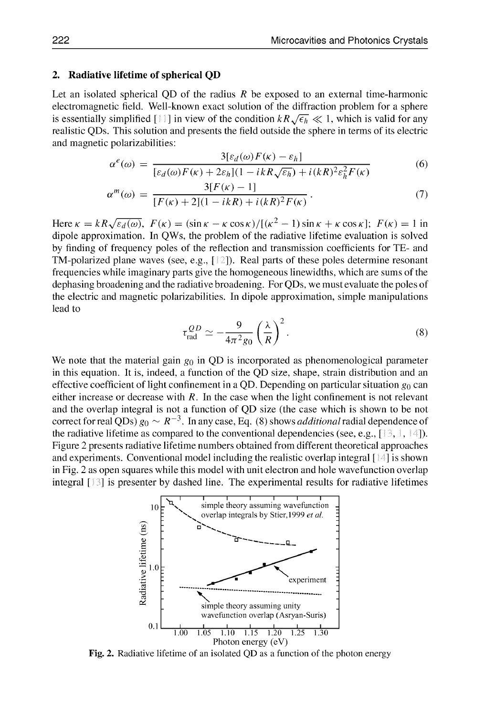#### 2. Radiative lifetime of spherical **QD**

Let an isolated spherical QD of the radius  $R$  be exposed to an external time-harmonic electromagnetic field. Well-known exact solution of the diffraction problem for a sphere is essentially simplified [11] in view of the condition  $kR\sqrt{\epsilon_h} \ll 1$ , which is valid for any realistic QDs. This solution and presents the field outside the sphere in terms of its electric and magnetic polarizabilities:

$$
\alpha^{e}(\omega) = \frac{3[\varepsilon_{d}(\omega)F(\kappa) - \varepsilon_{h}]}{[\varepsilon_{d}(\omega)F(\kappa) + 2\varepsilon_{h}](1 - ikR\sqrt{\varepsilon_{h}}) + i(kR)^{2}\varepsilon_{h}^{2}F(\kappa)}
$$
(6)

$$
\alpha^{m}(\omega) = \frac{3[F(\kappa) - 1]}{[F(\kappa) + 2](1 - ikR) + i(kR)^{2}F(\kappa)}.
$$
\n(7)

Here  $\kappa = kR\sqrt{\varepsilon_d(\omega)}$ ,  $F(\kappa) = (\sin \kappa - \kappa \cos \kappa)/[(\kappa^2 - 1)\sin \kappa + \kappa \cos \kappa];$   $F(\kappa) = 1$  in dipole approximation. In QWs, the problem of the radiative lifetime evaluation is solved by finding of frequency poles of the reflection and transmission coefficients for TE- and TM-polarized plane waves (see, e.g., [ **1).** Real parts of these poles determine resonant frequencies while imaginary parts give the homogeneous linewidths, which are sums of the dephasing broadening and the radiative broadening. For QDs, we must evaluate the poles of the electric and magnetic polarizabilities. In dipole approximation, simple manipulations lead to

$$
\tau_{\text{rad}}^{QD} \simeq -\frac{9}{4\pi^2 g_0} \left(\frac{\lambda}{R}\right)^2. \tag{8}
$$

We note that the material gain  $g_0$  in QD is incorporated as phenomenological parameter in this equation. It is, indeed, a function of the QD size, shape, strain distribution and an effective coefficient of light confinement in a QD. Depending on particular situation  $g_0$  can either increase or decrease with  $R$ . In the case when the light confinement is not relevant and the overlap integral is not a function of QD size (the case which is shown to be not correct for real QDs)  $g_0 \sim R^{-3}$ . In any case, Eq. (8) shows *additional* radial dependence of the radiative lifetime as compared to the conventional dependencies (see, e.g.,  $[13, 1, 14]$ ). Figure 2 presents radiative lifetime numbers obtained from different theoretical approaches and experiments. Conventional model including the realistic overlap integral **[ ]** is shown in Fig. 2 as open squares while this model with unit electron and hole wavefunction overlap integral  $[\ ]$  is presenter by dashed line. The experimental results for radiative lifetimes



Fig. 2. Radiative lifetime of an isolated QD as a function of the photon energy